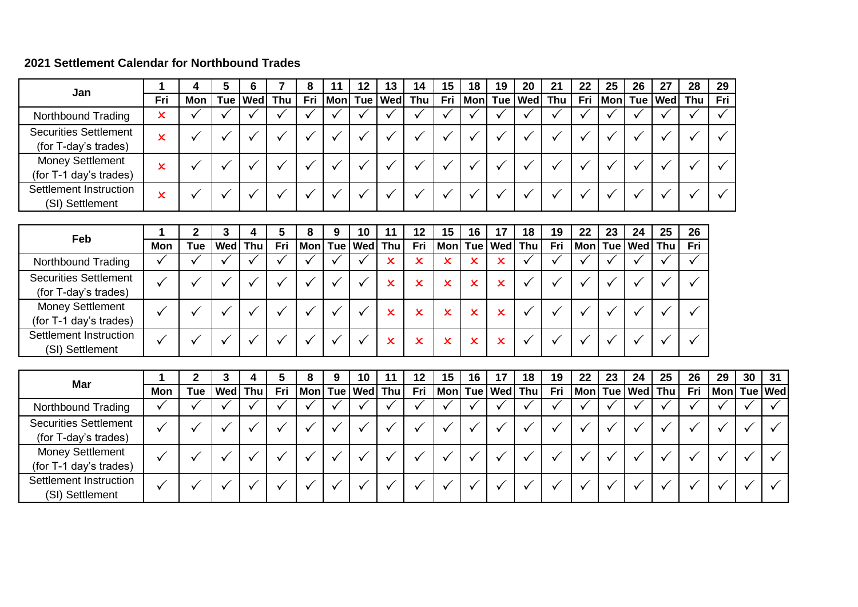## **2021 Settlement Calendar for Northbound Trades**

|                                                      |     |     | э | 6         |     | 8   | 11 | 12 | 13 | 14                  | 15 | 18 | 19 | 20 | 21                          | 22  | 25 | 26 | 27          | 28  | 29  |
|------------------------------------------------------|-----|-----|---|-----------|-----|-----|----|----|----|---------------------|----|----|----|----|-----------------------------|-----|----|----|-------------|-----|-----|
| Jan                                                  | Fri | Mon |   | Tue   Wed | Thu | Fri |    |    |    | Mon Tue   Wed   Thu |    |    |    |    | Fri   Mon   Tue   Wed   Thu | Fri |    |    | Mon Tue Wed | Thu | Fri |
| Northbound Trading                                   | x   |     |   |           |     |     |    |    |    |                     |    |    |    |    |                             |     |    |    |             |     |     |
| <b>Securities Settlement</b><br>(for T-day's trades) | ᄉ   |     |   |           |     |     |    |    |    |                     |    |    |    |    |                             |     |    |    |             |     |     |
| <b>Money Settlement</b><br>(for T-1 day's trades)    |     |     |   |           |     |     |    |    |    |                     |    |    |    |    |                             |     |    |    |             |     |     |
| Settlement Instruction<br>(SI) Settlement            |     |     |   |           |     |     |    |    |    |                     |    |    |    |    |                             |     |    |    |             |     |     |

| Feb                                                  |     |     | J                |     | 5   | O | 9 | 10                    | 11 | 12  | 15                    | 16 | 17                        | 18 | 19  | 22 | 23 | 24                  | 25 | 26  |
|------------------------------------------------------|-----|-----|------------------|-----|-----|---|---|-----------------------|----|-----|-----------------------|----|---------------------------|----|-----|----|----|---------------------|----|-----|
|                                                      | Mon | Tue | Wed <sup>1</sup> | Thu | Fri |   |   | Mon   Tue   Wed   Thu |    | Fri | Mon   Tue   Wed   Thu |    |                           |    | Fri |    |    | Mon  Tue   Wed  Thu |    | Fri |
| Northbound Trading                                   |     |     |                  |     |     |   |   |                       | ×  | x   | x                     | x  | $\mathsf{\mathsf{x}}$     |    |     |    |    |                     |    |     |
| <b>Securities Settlement</b><br>(for T-day's trades) |     |     |                  |     |     |   |   |                       | ×  | x   | x                     | x  | x                         |    |     |    |    |                     |    |     |
| <b>Money Settlement</b><br>(for T-1 day's trades)    |     |     |                  |     |     |   |   |                       | x  | x   | x                     | x  | $\mathsf{x}$              |    |     |    |    |                     |    |     |
| Settlement Instruction<br>(SI) Settlement            |     |     |                  |     |     |   |   |                       | ×  | x   | x                     | x  | $\boldsymbol{\mathsf{x}}$ |    |     |    |    |                     |    |     |

| Mar                                                  |     |            |                |     | 9 | 10 |                       | 12  | 15 | 16 | 17                    | 18 | 19  | 22         | 23 | 24              | 25 | 26  | 29 | 30          | 31 |
|------------------------------------------------------|-----|------------|----------------|-----|---|----|-----------------------|-----|----|----|-----------------------|----|-----|------------|----|-----------------|----|-----|----|-------------|----|
|                                                      | Mon | <b>Tue</b> | <b>Wed</b> Thu | Fri |   |    | Mon   Tue   Wed   Thu | Fri |    |    | Mon   Tue   Wed   Thu |    | Fri | <b>Mon</b> |    | Tue   Wed   Thu |    | Fri |    | Mon Tue Wed |    |
| Northbound Trading                                   |     |            |                |     |   |    |                       |     |    |    |                       |    |     |            |    |                 |    |     |    |             |    |
| <b>Securities Settlement</b><br>(for T-day's trades) |     |            |                |     |   |    |                       |     |    |    |                       |    |     |            |    |                 |    |     |    |             |    |
| <b>Money Settlement</b><br>(for T-1 day's trades)    |     |            |                |     |   |    |                       |     |    |    |                       |    |     |            |    |                 |    |     |    |             |    |
| Settlement Instruction<br>(SI) Settlement            |     |            |                |     |   |    |                       |     |    |    |                       |    |     |            |    |                 |    |     |    |             |    |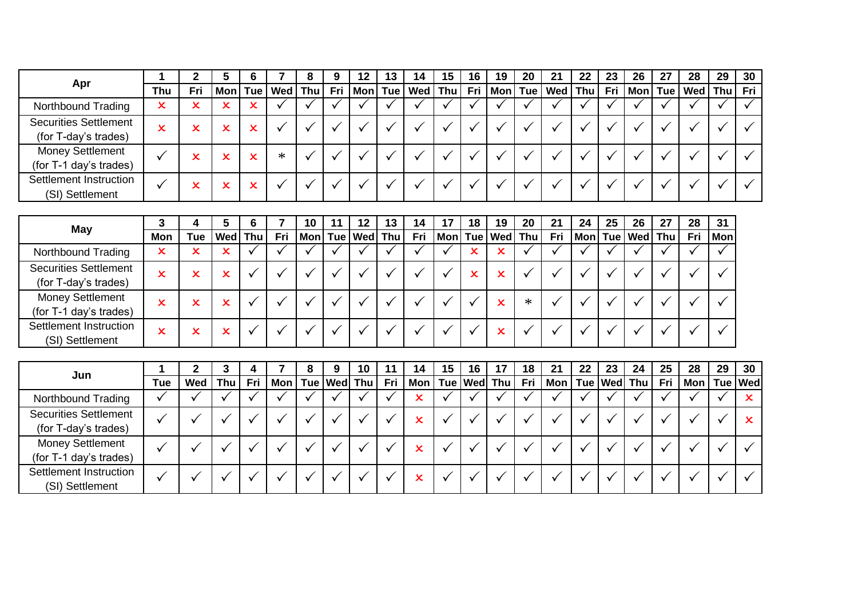|                              |     |     |     | O |                 | 9   | 12 | 13 | 14                    | 15 | 16 | 19 | 20 | 21                          | 22 | 23 | 26              | 27 | 28        | 29 | 30  |
|------------------------------|-----|-----|-----|---|-----------------|-----|----|----|-----------------------|----|----|----|----|-----------------------------|----|----|-----------------|----|-----------|----|-----|
| Apr                          | Thu | Fri | Mon |   | Tue   Wed   Thu | Fri |    |    | Mon   Tue   Wed   Thu |    |    |    |    | Fri   Mon   Tue   Wed   Thu |    |    | Fri   Mon   Tue |    | Wed   Thu |    | Fri |
| Northbound Trading           | x   |     |     |   |                 |     |    |    |                       |    |    |    |    |                             |    |    |                 |    |           |    |     |
| <b>Securities Settlement</b> | x   |     | x   |   |                 |     |    |    |                       |    |    |    |    |                             |    |    |                 |    |           |    |     |
| (for T-day's trades)         |     |     |     | ∼ |                 |     |    |    |                       |    |    |    |    |                             |    |    |                 |    |           |    |     |
| <b>Money Settlement</b>      |     |     | x   | x | $\ast$          |     |    |    |                       |    |    |    |    |                             |    |    |                 |    |           |    |     |
| (for T-1 day's trades)       |     |     |     |   |                 |     |    |    |                       |    |    |    |    |                             |    |    |                 |    |           |    |     |
| Settlement Instruction       |     |     | x   | ᄉ |                 |     |    |    |                       |    |    |    |    |                             |    |    |                 |    |           |    |     |
| (SI) Settlement              |     |     |     |   |                 |     |    |    |                       |    |    |    |    |                             |    |    |                 |    |           |    |     |

| Settlement mstruction<br>(SI) Settlement             |             | x                     | x   | x            |     |           |                       |    |     |    |    |                       |        |     |    |    |                     |    |     |            |
|------------------------------------------------------|-------------|-----------------------|-----|--------------|-----|-----------|-----------------------|----|-----|----|----|-----------------------|--------|-----|----|----|---------------------|----|-----|------------|
|                                                      |             |                       |     |              |     |           |                       |    |     |    |    |                       |        |     |    |    |                     |    |     |            |
| <b>May</b>                                           |             |                       | 5   | 6            |     | 10        | 12                    | 13 | 14  | 17 | 18 | 19                    | 20     | 21  | 24 | 25 | 26                  | 27 | 28  | 31         |
|                                                      | Mon         | <b>Tue</b>            | Wed | <b>Thu</b>   | Fri |           | Mon   Tue   Wed   Thu |    | Fri |    |    | Mon   Tue   Wed   Thu |        | Fri |    |    | Mon  Tue   Wed  Thu |    | Fri | <b>Mon</b> |
| Northbound Trading                                   | x           | x                     | x   |              |     |           |                       |    |     |    | ᄉ  | x                     |        |     |    |    |                     |    |     |            |
| <b>Securities Settlement</b><br>(for T-day's trades) | x           | x                     | ×   |              |     |           |                       |    |     |    | x  | x                     |        |     |    |    |                     |    |     |            |
| <b>Money Settlement</b><br>(for T-1 day's trades)    | $\mathbf x$ | $\mathsf{\mathsf{x}}$ | x   |              |     |           |                       |    |     |    |    | x                     | $\ast$ |     |    |    |                     |    |     |            |
| Settlement Instruction<br>(SI) Settlement            | x           | x                     | x   | $\checkmark$ |     | $\sqrt{}$ |                       |    |     |    |    | x                     |        |     |    |    |                     |    |     |            |

|                                                      |     |     |            |     |                       | У | 10 |     | 14         | 15 | 16 | 17 | 18 | 21                                        | 22 | 23 | 24 | 25  | 28              | 29 | 30 |
|------------------------------------------------------|-----|-----|------------|-----|-----------------------|---|----|-----|------------|----|----|----|----|-------------------------------------------|----|----|----|-----|-----------------|----|----|
| Jun                                                  | Tue | Wed | <b>Thu</b> | Fri | Mon   Tue   Wed   Thu |   |    | Fri | <b>Mon</b> |    |    |    |    | Tue  Wed  Thu   Fri   Mon   Tue  Wed  Thu |    |    |    | Fri | Mon   Tue   Wed |    |    |
| Northbound Trading                                   |     |     |            |     |                       |   |    |     |            |    |    |    |    |                                           |    |    |    |     |                 |    |    |
| <b>Securities Settlement</b><br>(for T-day's trades) |     |     |            |     |                       |   |    |     |            |    |    |    |    |                                           |    |    |    |     |                 |    |    |
| <b>Money Settlement</b><br>(for T-1 day's trades)    |     |     |            |     |                       |   |    |     |            |    |    |    |    |                                           |    |    |    |     |                 |    |    |
| Settlement Instruction<br>(SI) Settlement            |     |     |            |     |                       |   |    |     |            |    |    |    |    |                                           |    |    |    |     |                 |    |    |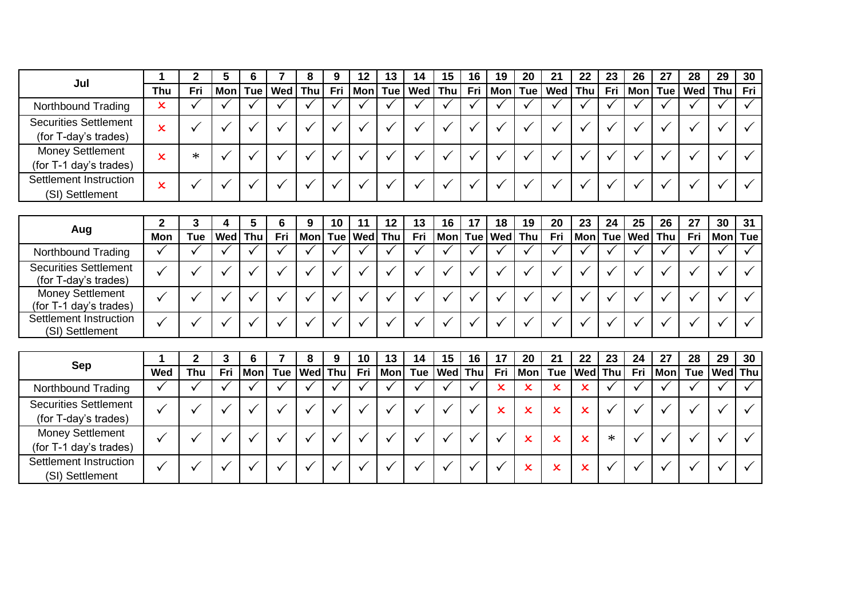| Jul                          |     |        |            | O |                 | 9   | 12 | 13 | 14 | 15 | 16 | 19 | 20 | 21                                   | 22 | 23 | 26              | 27 | 28        | 29 | 30  |
|------------------------------|-----|--------|------------|---|-----------------|-----|----|----|----|----|----|----|----|--------------------------------------|----|----|-----------------|----|-----------|----|-----|
|                              | Thu | Fri    | <b>Mon</b> |   | Tue   Wed   Thu | Fri |    |    |    |    |    |    |    | Mon Tue Wed Thu Fri  Mon Tue Wed Thu |    |    | Fri   Mon   Tue |    | Wed   Thu |    | Fri |
| Northbound Trading           | x   |        |            |   |                 |     |    |    |    |    |    |    |    |                                      |    |    |                 |    |           |    |     |
| <b>Securities Settlement</b> | x   |        |            |   |                 |     |    |    |    |    |    |    |    |                                      |    |    |                 |    |           |    |     |
| (for T-day's trades)         |     |        |            |   |                 |     |    |    |    |    |    |    |    |                                      |    |    |                 |    |           |    |     |
| <b>Money Settlement</b>      | x   | $\ast$ |            |   |                 |     |    |    |    |    |    |    |    |                                      |    |    |                 |    |           |    |     |
| (for T-1 day's trades)       |     |        |            |   |                 |     |    |    |    |    |    |    |    |                                      |    |    |                 |    |           |    |     |
| Settlement Instruction       | x   |        |            |   |                 |     |    |    |    |    |    |    |    |                                      |    |    |                 |    |           |    |     |
| (SI) Settlement              |     |        |            |   |                 |     |    |    |    |    |    |    |    |                                      |    |    |                 |    |           |    |     |

| Settlement instruction<br>(SI) Settlement            | x   |            |            |     |     |                     |    |    |     |    |                       |    |     |            |    |         |     |     |         |    |
|------------------------------------------------------|-----|------------|------------|-----|-----|---------------------|----|----|-----|----|-----------------------|----|-----|------------|----|---------|-----|-----|---------|----|
|                                                      |     |            |            |     |     |                     |    |    |     |    |                       |    |     |            |    |         |     |     |         |    |
| Aug                                                  |     |            | 4          | 5   |     | 9                   | 10 | 12 | 13  | 16 | 18                    | 19 | 20  | 23         | 24 | 25      | 26  | 27  | 30      | 31 |
|                                                      | Mon | <b>Tue</b> | <b>Wed</b> | Thu | Fri | Mon  Tue   Wed  Thu |    |    | Fri |    | Mon   Tue   Wed   Thu |    | Fri | <b>Mon</b> |    | Tue Wed | Thu | Fri | Mon Tue |    |
| Northbound Trading                                   |     |            |            |     |     |                     |    |    |     |    |                       |    |     |            |    |         |     |     |         |    |
| <b>Securities Settlement</b><br>(for T-day's trades) |     |            |            |     |     |                     |    |    |     |    |                       |    |     |            |    |         |     |     |         |    |
| <b>Money Settlement</b><br>(for T-1 day's trades)    |     |            |            |     |     |                     |    |    |     |    |                       |    |     |            |    |         |     |     |         |    |
| Settlement Instruction<br>(SI) Settlement            |     |            |            |     |     |                     |    |    |     |    |                       |    |     |            |    |         |     |     |         |    |

|                              |     |     |     | O   | o               | 9 | 10 | 13      | 14  | 15             | 16 | 17  | 20  | 21              | 22 | 23 | 24  | 27         | 28  | 29 | 30      |
|------------------------------|-----|-----|-----|-----|-----------------|---|----|---------|-----|----------------|----|-----|-----|-----------------|----|----|-----|------------|-----|----|---------|
| Sep                          | Wed | Thu | Fri | Mon | Tue   Wed   Thu |   |    | Fri Mon | Tue | <b>Wed</b> Thu |    | Fri | Mon | Tue   Wed   Thu |    |    | Fri | <b>Mon</b> | Tue |    | Wed Thu |
| Northbound Trading           |     |     |     |     |                 |   |    |         |     |                |    | ×   |     | x               |    |    |     |            |     |    |         |
| <b>Securities Settlement</b> |     |     |     |     |                 |   |    |         |     |                |    | x   |     | v<br>ᄉ          |    |    |     |            |     |    |         |
| (for T-day's trades)         |     |     |     |     |                 |   |    |         |     |                |    |     |     |                 |    |    |     |            |     |    |         |
| <b>Money Settlement</b>      |     |     |     |     |                 |   |    |         |     |                |    |     |     | x               |    | ∗  |     |            |     |    |         |
| (for T-1 day's trades)       |     |     |     |     |                 |   |    |         |     |                |    |     |     |                 |    |    |     |            |     |    |         |
| Settlement Instruction       |     |     |     |     |                 |   |    |         |     |                |    |     |     | x               |    |    |     |            |     |    |         |
| (SI) Settlement              |     |     |     |     |                 |   |    |         |     |                |    |     |     |                 |    |    |     |            |     |    |         |